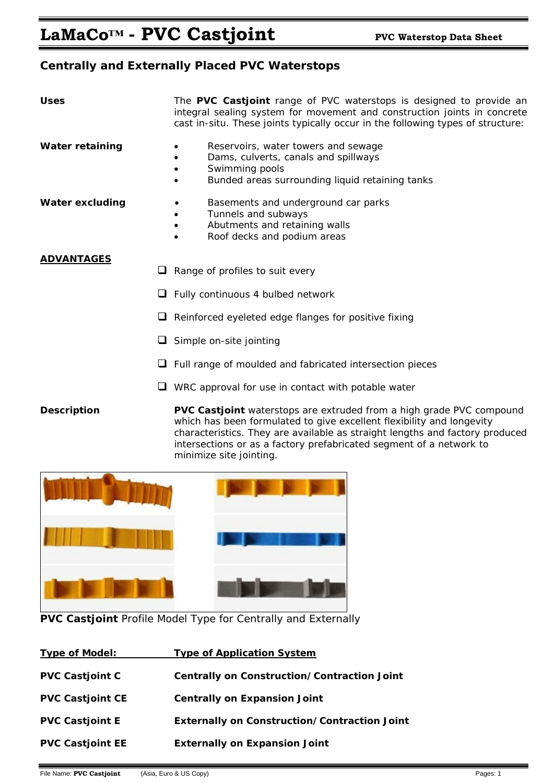# **Centrally and Externally Placed PVC Waterstops**

| <b>Uses</b>            | The PVC Castjoint range of PVC waterstops is designed to provide an<br>integral sealing system for movement and construction joints in concrete<br>cast in-situ. These joints typically occur in the following types of structure: |  |
|------------------------|------------------------------------------------------------------------------------------------------------------------------------------------------------------------------------------------------------------------------------|--|
| <b>Water retaining</b> | Reservoirs, water towers and sewage<br>Dams, culverts, canals and spillways<br>Swimming pools<br>Bunded areas surrounding liquid retaining tanks<br>٠                                                                              |  |
| <b>Water excluding</b> | Basements and underground car parks<br>Tunnels and subways<br>Abutments and retaining walls<br>٠<br>Roof decks and podium areas                                                                                                    |  |
| <b>ADVANTAGES</b>      | Range of profiles to suit every<br>u                                                                                                                                                                                               |  |
| u                      | Fully continuous 4 bulbed network                                                                                                                                                                                                  |  |
| ⊔                      | Reinforced eyeleted edge flanges for positive fixing                                                                                                                                                                               |  |
|                        | Simple on-site jointing<br>⊔                                                                                                                                                                                                       |  |
|                        | Full range of moulded and fabricated intersection pieces                                                                                                                                                                           |  |
|                        | WRC approval for use in contact with potable water                                                                                                                                                                                 |  |

**Description PVC Castjoint** waterstops are extruded from a high grade PVC compound which has been formulated to give excellent flexibility and longevity characteristics. They are available as straight lengths and factory produced intersections or as a factory prefabricated segment of a network to minimize site jointing.



**PVC Castjoint** Profile Model Type for Centrally and Externally

| <b>Type of Model:</b>   | <b>Type of Application System</b>                   |
|-------------------------|-----------------------------------------------------|
| <b>PVC Castjoint C</b>  | Centrally on Construction/Contraction Joint         |
| <b>PVC Castjoint CE</b> | <b>Centrally on Expansion Joint</b>                 |
| <b>PVC Castjoint E</b>  | <b>Externally on Construction/Contraction Joint</b> |
| <b>PVC Castioint EE</b> | <b>Externally on Expansion Joint</b>                |
|                         |                                                     |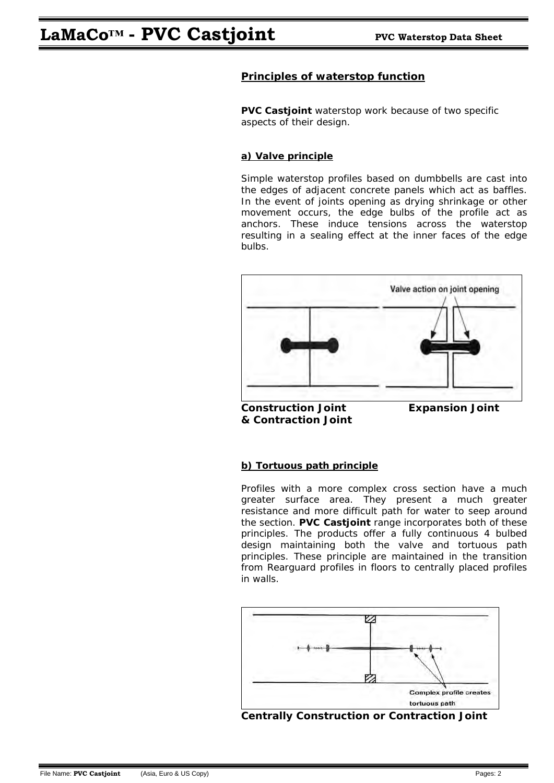## **Principles of waterstop function**

**PVC Castjoint** waterstop work because of two specific aspects of their design.

## **a) Valve principle**

Simple waterstop profiles based on dumbbells are cast into the edges of adjacent concrete panels which act as baffles. In the event of joints opening as drying shrinkage or other movement occurs, the edge bulbs of the profile act as anchors. These induce tensions across the waterstop resulting in a sealing effect at the inner faces of the edge bulbs.



 **Construction Joint Expansion Joint & Contraction Joint** 

## **b) Tortuous path principle**

Profiles with a more complex cross section have a much greater surface area. They present a much greater resistance and more difficult path for water to seep around the section. **PVC Castjoint** range incorporates both of these principles. The products offer a fully continuous 4 bulbed design maintaining both the valve and tortuous path principles. These principle are maintained in the transition from Rearguard profiles in floors to centrally placed profiles in walls.

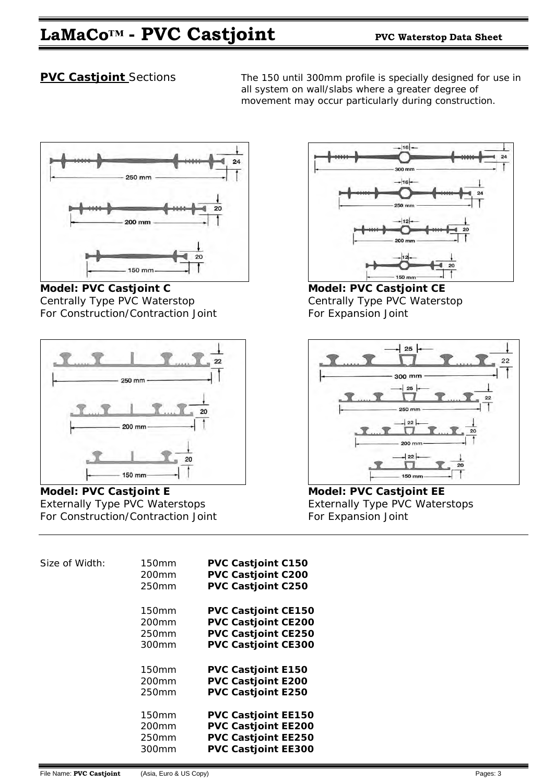# **LaMaCo™ - PVC Castjoint PVC Waterstop Data Sheet**

**PVC Castjoint** Sections The 150 until 300mm profile is specially designed for use in all system on wall/slabs where a greater degree of movement may occur particularly during construction.



Model: PVC Castjoint C Model: PVC Castjoint CE Centrally Type PVC Waterstop Centrally Type PVC Waterstop For Construction/Contraction Joint For Expansion Joint



Model: PVC Castjoint E **Model: PVC Castjoint EE** Externally Type PVC Waterstops **Externally Type PVC Waterstops** For Construction/Contraction Joint For Expansion Joint

| $-16$<br>24           |
|-----------------------|
| 300 mm<br>$-16$       |
| 24<br>250 mm          |
| $-12$<br>20<br>200 mm |
|                       |
| 20<br>150 mm          |



| Size of Width: | <b>150mm</b><br>200 <sub>mm</sub><br>250mm   | <b>PVC Castjoint C150</b><br>PVC Castjoint C200<br><b>PVC Castjoint C250</b>                                         |
|----------------|----------------------------------------------|----------------------------------------------------------------------------------------------------------------------|
|                | 150mm<br>200mm<br>250mm<br>300mm             | <b>PVC Castjoint CE150</b><br><b>PVC Castjoint CE200</b><br><b>PVC Castjoint CE250</b><br><b>PVC Castjoint CE300</b> |
|                | 150mm<br>200 <sub>mm</sub><br>250mm          | <b>PVC Castjoint E150</b><br><b>PVC Castjoint E200</b><br><b>PVC Castjoint E250</b>                                  |
|                | 150mm<br>200 <sub>mm</sub><br>250mm<br>300mm | <b>PVC Castjoint EE150</b><br><b>PVC Castjoint EE200</b><br><b>PVC Castjoint EE250</b><br><b>PVC Castjoint EE300</b> |